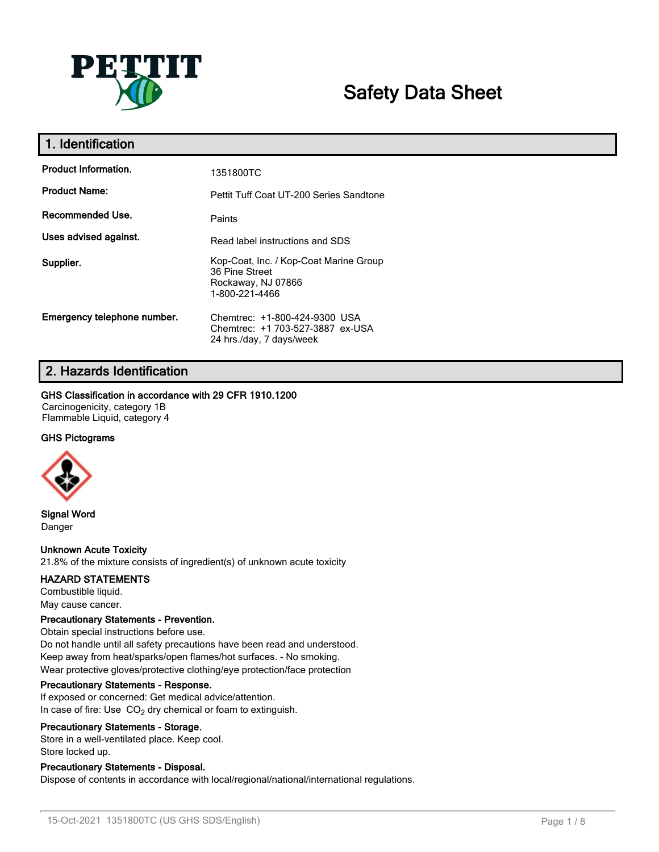

# **Safety Data Sheet**

| 1. Identification           |                                                                                                  |
|-----------------------------|--------------------------------------------------------------------------------------------------|
| <b>Product Information.</b> | 1351800TC                                                                                        |
| <b>Product Name:</b>        | Pettit Tuff Coat UT-200 Series Sandtone                                                          |
| Recommended Use.            | Paints                                                                                           |
| Uses advised against.       | Read label instructions and SDS                                                                  |
| Supplier.                   | Kop-Coat, Inc. / Kop-Coat Marine Group<br>36 Pine Street<br>Rockaway, NJ 07866<br>1-800-221-4466 |
| Emergency telephone number. | Chemtrec: +1-800-424-9300 USA<br>Chemtrec: +1 703-527-3887 ex-USA<br>24 hrs./day, 7 days/week    |

# **2. Hazards Identification**

#### **GHS Classification in accordance with 29 CFR 1910.1200**

Carcinogenicity, category 1B Flammable Liquid, category 4

### **GHS Pictograms**



**Signal Word** Danger

### **Unknown Acute Toxicity**

21.8% of the mixture consists of ingredient(s) of unknown acute toxicity

#### **HAZARD STATEMENTS**

Combustible liquid. May cause cancer.

#### **Precautionary Statements - Prevention.**

Obtain special instructions before use. Do not handle until all safety precautions have been read and understood. Keep away from heat/sparks/open flames/hot surfaces. - No smoking. Wear protective gloves/protective clothing/eye protection/face protection

#### **Precautionary Statements - Response.**

If exposed or concerned: Get medical advice/attention. In case of fire: Use  $CO<sub>2</sub>$  dry chemical or foam to extinguish.

#### **Precautionary Statements - Storage.**

Store in a well-ventilated place. Keep cool. Store locked up.

### **Precautionary Statements - Disposal.**

Dispose of contents in accordance with local/regional/national/international regulations.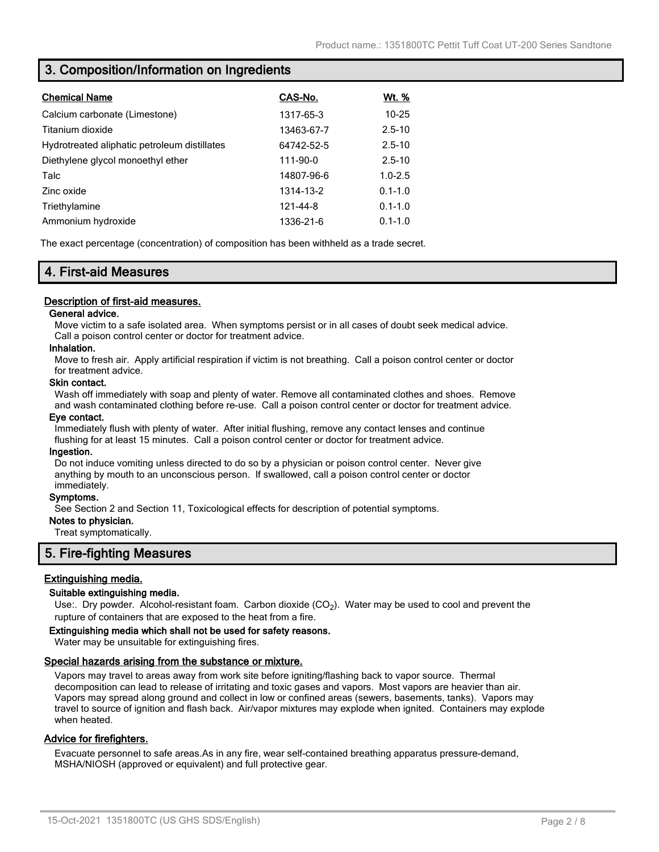# **3. Composition/Information on Ingredients**

| <b>Chemical Name</b>                         | CAS-No.    | <u>Wt. %</u> |
|----------------------------------------------|------------|--------------|
| Calcium carbonate (Limestone)                | 1317-65-3  | $10 - 25$    |
| Titanium dioxide                             | 13463-67-7 | $2.5 - 10$   |
| Hydrotreated aliphatic petroleum distillates | 64742-52-5 | $2.5 - 10$   |
| Diethylene glycol monoethyl ether            | 111-90-0   | $2.5 - 10$   |
| Talc                                         | 14807-96-6 | $1.0 - 2.5$  |
| Zinc oxide                                   | 1314-13-2  | $0.1 - 1.0$  |
| Triethylamine                                | 121-44-8   | $0.1 - 1.0$  |
| Ammonium hydroxide                           | 1336-21-6  | $0.1 - 1.0$  |

The exact percentage (concentration) of composition has been withheld as a trade secret.

# **4. First-aid Measures**

### **Description of first-aid measures.**

#### **General advice.**

Move victim to a safe isolated area. When symptoms persist or in all cases of doubt seek medical advice. Call a poison control center or doctor for treatment advice.

#### **Inhalation.**

Move to fresh air. Apply artificial respiration if victim is not breathing. Call a poison control center or doctor for treatment advice.

#### **Skin contact.**

Wash off immediately with soap and plenty of water. Remove all contaminated clothes and shoes. Remove and wash contaminated clothing before re-use. Call a poison control center or doctor for treatment advice.

#### **Eye contact.**

Immediately flush with plenty of water. After initial flushing, remove any contact lenses and continue flushing for at least 15 minutes. Call a poison control center or doctor for treatment advice.

#### **Ingestion.**

Do not induce vomiting unless directed to do so by a physician or poison control center. Never give anything by mouth to an unconscious person. If swallowed, call a poison control center or doctor immediately.

#### **Symptoms.**

See Section 2 and Section 11, Toxicological effects for description of potential symptoms.

#### **Notes to physician.**

Treat symptomatically.

## **5. Fire-fighting Measures**

### **Extinguishing media.**

#### **Suitable extinguishing media.**

Use:. Dry powder. Alcohol-resistant foam. Carbon dioxide (CO<sub>2</sub>). Water may be used to cool and prevent the rupture of containers that are exposed to the heat from a fire.

#### **Extinguishing media which shall not be used for safety reasons.**

Water may be unsuitable for extinguishing fires.

#### **Special hazards arising from the substance or mixture.**

Vapors may travel to areas away from work site before igniting/flashing back to vapor source. Thermal decomposition can lead to release of irritating and toxic gases and vapors. Most vapors are heavier than air. Vapors may spread along ground and collect in low or confined areas (sewers, basements, tanks). Vapors may travel to source of ignition and flash back. Air/vapor mixtures may explode when ignited. Containers may explode when heated.

### **Advice for firefighters.**

Evacuate personnel to safe areas.As in any fire, wear self-contained breathing apparatus pressure-demand, MSHA/NIOSH (approved or equivalent) and full protective gear.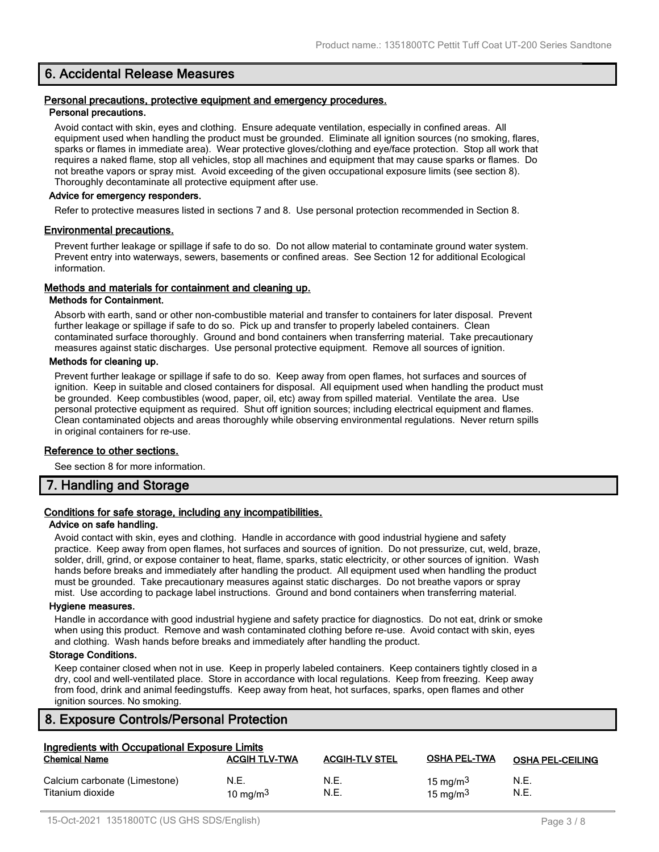# **6. Accidental Release Measures**

#### **Personal precautions, protective equipment and emergency procedures. Personal precautions.**

Avoid contact with skin, eyes and clothing. Ensure adequate ventilation, especially in confined areas. All equipment used when handling the product must be grounded. Eliminate all ignition sources (no smoking, flares, sparks or flames in immediate area). Wear protective gloves/clothing and eye/face protection. Stop all work that requires a naked flame, stop all vehicles, stop all machines and equipment that may cause sparks or flames. Do not breathe vapors or spray mist. Avoid exceeding of the given occupational exposure limits (see section 8). Thoroughly decontaminate all protective equipment after use.

#### **Advice for emergency responders.**

Refer to protective measures listed in sections 7 and 8. Use personal protection recommended in Section 8.

#### **Environmental precautions.**

Prevent further leakage or spillage if safe to do so. Do not allow material to contaminate ground water system. Prevent entry into waterways, sewers, basements or confined areas. See Section 12 for additional Ecological information.

#### **Methods and materials for containment and cleaning up.**

#### **Methods for Containment.**

Absorb with earth, sand or other non-combustible material and transfer to containers for later disposal. Prevent further leakage or spillage if safe to do so. Pick up and transfer to properly labeled containers. Clean contaminated surface thoroughly. Ground and bond containers when transferring material. Take precautionary measures against static discharges. Use personal protective equipment. Remove all sources of ignition.

#### **Methods for cleaning up.**

Prevent further leakage or spillage if safe to do so. Keep away from open flames, hot surfaces and sources of ignition. Keep in suitable and closed containers for disposal. All equipment used when handling the product must be grounded. Keep combustibles (wood, paper, oil, etc) away from spilled material. Ventilate the area. Use personal protective equipment as required. Shut off ignition sources; including electrical equipment and flames. Clean contaminated objects and areas thoroughly while observing environmental regulations. Never return spills in original containers for re-use.

#### **Reference to other sections.**

See section 8 for more information.

## **7. Handling and Storage**

### **Conditions for safe storage, including any incompatibilities.**

#### **Advice on safe handling.**

Avoid contact with skin, eyes and clothing. Handle in accordance with good industrial hygiene and safety practice. Keep away from open flames, hot surfaces and sources of ignition. Do not pressurize, cut, weld, braze, solder, drill, grind, or expose container to heat, flame, sparks, static electricity, or other sources of ignition. Wash hands before breaks and immediately after handling the product. All equipment used when handling the product must be grounded. Take precautionary measures against static discharges. Do not breathe vapors or spray mist. Use according to package label instructions. Ground and bond containers when transferring material.

#### **Hygiene measures.**

Handle in accordance with good industrial hygiene and safety practice for diagnostics. Do not eat, drink or smoke when using this product. Remove and wash contaminated clothing before re-use. Avoid contact with skin, eyes and clothing. Wash hands before breaks and immediately after handling the product.

#### **Storage Conditions.**

Keep container closed when not in use. Keep in properly labeled containers. Keep containers tightly closed in a dry, cool and well-ventilated place. Store in accordance with local regulations. Keep from freezing. Keep away from food, drink and animal feedingstuffs. Keep away from heat, hot surfaces, sparks, open flames and other ignition sources. No smoking.

## **8. Exposure Controls/Personal Protection**

| Ingredients with Occupational Exposure Limits     |                      |                       |                            |                         |
|---------------------------------------------------|----------------------|-----------------------|----------------------------|-------------------------|
| <b>Chemical Name</b>                              | <b>ACGIH TLV-TWA</b> | <b>ACGIH-TLV STEL</b> | <b>OSHA PEL-TWA</b>        | <b>OSHA PEL-CEILING</b> |
| Calcium carbonate (Limestone)<br>Titanium dioxide | N.E.<br>10 mg/m $3$  | N.E.<br>N.E.          | 15 mg/m $3$<br>15 mg/m $3$ | N.E.<br>N.E.            |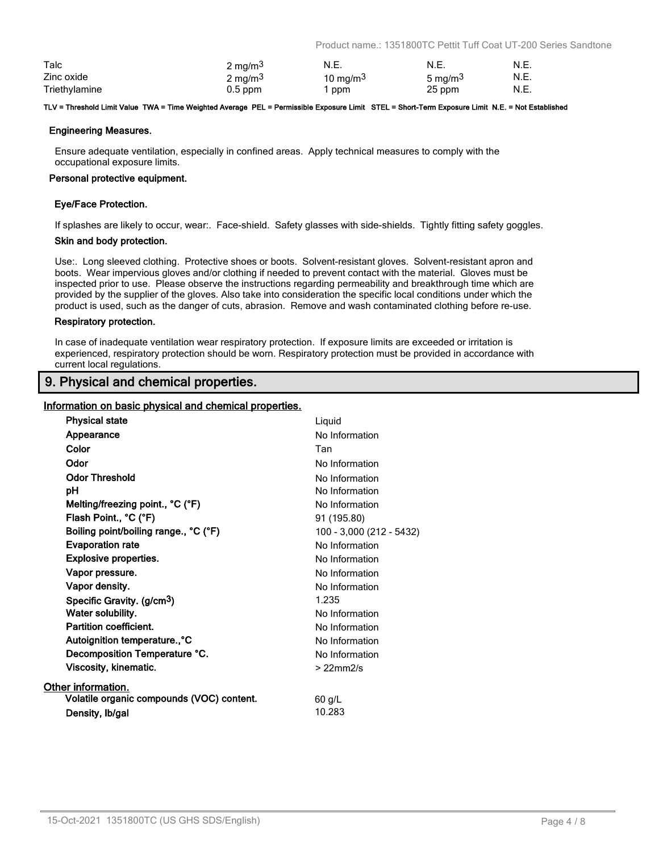Product name.: 1351800TC Pettit Tuff Coat UT-200 Series Sandtone

| Talc          | $2 \text{ mg/m}^3$ | N.E.        | N.E.                | N.E. |
|---------------|--------------------|-------------|---------------------|------|
| Zinc oxide    | $2 \text{ mg/m}^3$ | 10 mg/m $3$ | 5 mg/m <sup>3</sup> | N.E. |
| Triethylamine | $0.5$ ppm          | ppm         | 25 ppm              | N.E. |

#### **TLV = Threshold Limit Value TWA = Time Weighted Average PEL = Permissible Exposure Limit STEL = Short-Term Exposure Limit N.E. = Not Established**

#### **Engineering Measures.**

Ensure adequate ventilation, especially in confined areas. Apply technical measures to comply with the occupational exposure limits.

#### **Personal protective equipment.**

#### **Eye/Face Protection.**

If splashes are likely to occur, wear:. Face-shield. Safety glasses with side-shields. Tightly fitting safety goggles.

#### **Skin and body protection.**

Use:. Long sleeved clothing. Protective shoes or boots. Solvent-resistant gloves. Solvent-resistant apron and boots. Wear impervious gloves and/or clothing if needed to prevent contact with the material. Gloves must be inspected prior to use. Please observe the instructions regarding permeability and breakthrough time which are provided by the supplier of the gloves. Also take into consideration the specific local conditions under which the product is used, such as the danger of cuts, abrasion. Remove and wash contaminated clothing before re-use.

#### **Respiratory protection.**

In case of inadequate ventilation wear respiratory protection. If exposure limits are exceeded or irritation is experienced, respiratory protection should be worn. Respiratory protection must be provided in accordance with current local regulations.

# **9. Physical and chemical properties.**

#### **Information on basic physical and chemical properties.**

| <b>Physical state</b>                     | Liquid                   |
|-------------------------------------------|--------------------------|
| Appearance                                | No Information           |
| Color                                     | Tan                      |
| Odor                                      | No Information           |
| <b>Odor Threshold</b>                     | No Information           |
| рH                                        | No Information           |
| Melting/freezing point., °C (°F)          | No Information           |
| Flash Point., °C (°F)                     | 91 (195.80)              |
| Boiling point/boiling range., °C (°F)     | 100 - 3,000 (212 - 5432) |
| <b>Evaporation rate</b>                   | No Information           |
| <b>Explosive properties.</b>              | No Information           |
| Vapor pressure.                           | No Information           |
| Vapor density.                            | No Information           |
| Specific Gravity. (g/cm <sup>3</sup> )    | 1.235                    |
| Water solubility.                         | No Information           |
| Partition coefficient.                    | No Information           |
| Autoignition temperature., °C             | No Information           |
| Decomposition Temperature °C.             | No Information           |
| Viscosity, kinematic.                     | $>22$ mm $2/s$           |
| Other information.                        |                          |
| Volatile organic compounds (VOC) content. | $60$ g/L                 |
| Density, Ib/gal                           | 10.283                   |
|                                           |                          |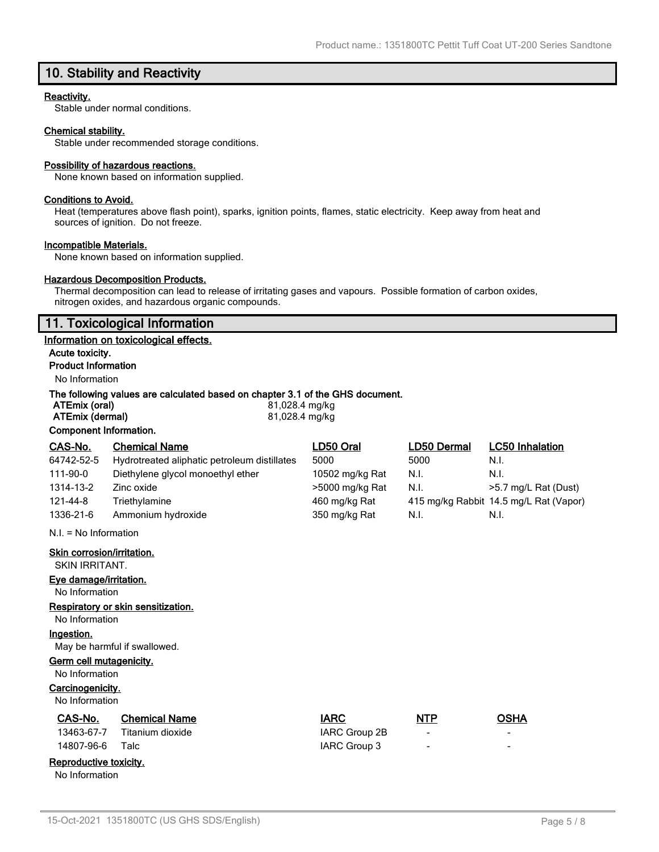# **10. Stability and Reactivity**

#### **Reactivity.**

Stable under normal conditions.

#### **Chemical stability.**

Stable under recommended storage conditions.

#### **Possibility of hazardous reactions.**

None known based on information supplied.

#### **Conditions to Avoid.**

Heat (temperatures above flash point), sparks, ignition points, flames, static electricity. Keep away from heat and sources of ignition. Do not freeze.

#### **Incompatible Materials.**

None known based on information supplied.

#### **Hazardous Decomposition Products.**

Thermal decomposition can lead to release of irritating gases and vapours. Possible formation of carbon oxides, nitrogen oxides, and hazardous organic compounds.

### **11. Toxicological Information**

#### **Information on toxicological effects.**

**Acute toxicity. Product Information**

# No Information

#### **The following values are calculated based on chapter 3.1 of the GHS document.**

| ATEmix (oral)          | 81,028.4 mg/kg |
|------------------------|----------------|
| ATEmix (dermal)        | 81,028.4 mg/kg |
| Component Information. |                |

| CAS-No.                    | <b>Chemical Name</b>                         | LD50 Oral       | LD50 Dermal | <b>LC50 Inhalation</b>                 |
|----------------------------|----------------------------------------------|-----------------|-------------|----------------------------------------|
| 64742-52-5                 | Hydrotreated aliphatic petroleum distillates | 5000            | 5000        | N.I.                                   |
| 111-90-0                   | Diethylene glycol monoethyl ether            | 10502 mg/kg Rat | N.I.        | N.I.                                   |
| 1314-13-2                  | Zinc oxide                                   | >5000 mg/kg Rat | N.I.        | >5.7 mg/L Rat (Dust)                   |
| 121-44-8                   | Triethylamine                                | 460 mg/kg Rat   |             | 415 mg/kg Rabbit 14.5 mg/L Rat (Vapor) |
| 1336-21-6                  | Ammonium hydroxide                           | 350 mg/kg Rat   | N.I.        | N.I.                                   |
| $N.I. = No Information$    |                                              |                 |             |                                        |
| Skin corrosion/irritation. |                                              |                 |             |                                        |

SKIN IRRITANT.

#### **Eye damage/irritation.**

No Information

#### **Respiratory or skin sensitization.**

No Information

# **Ingestion.**

May be harmful if swallowed.

### **Germ cell mutagenicity.**

No Information

# **Carcinogenicity.**

No Information

No Information

| No Information         |                      |               |                          |             |
|------------------------|----------------------|---------------|--------------------------|-------------|
| CAS-No.                | <b>Chemical Name</b> | <b>IARC</b>   | <b>NTP</b>               | <b>OSHA</b> |
| 13463-67-7             | Titanium dioxide     | IARC Group 2B | $\overline{\phantom{0}}$ | $\,$        |
| 14807-96-6             | Talc                 | IARC Group 3  | $\blacksquare$           | -           |
| Reproductive toxicity. |                      |               |                          |             |

### 15-Oct-2021 1351800TC (US GHS SDS/English) Page 5 / 8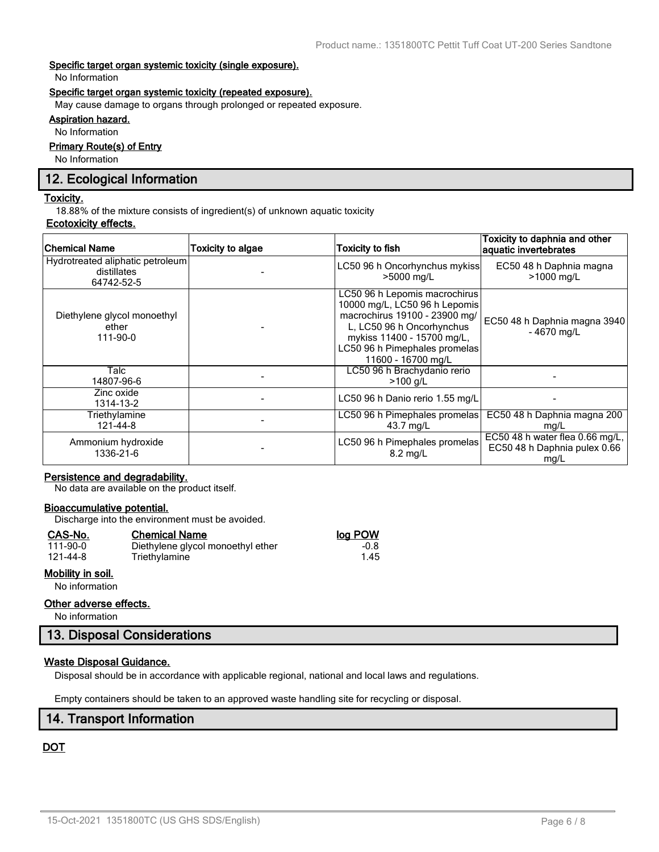#### **Specific target organ systemic toxicity (single exposure).**

No Information

#### **Specific target organ systemic toxicity (repeated exposure).**

May cause damage to organs through prolonged or repeated exposure.

## **Aspiration hazard.**

No Information

# **Primary Route(s) of Entry**

No Information

# **12. Ecological Information**

#### **Toxicity.**

18.88% of the mixture consists of ingredient(s) of unknown aquatic toxicity

#### **Ecotoxicity effects.**

| <b>Chemical Name</b>                                          | Toxicity to algae | <b>Toxicity to fish</b>                                                                                                                                                                                           | Toxicity to daphnia and other<br>aquatic invertebrates                  |
|---------------------------------------------------------------|-------------------|-------------------------------------------------------------------------------------------------------------------------------------------------------------------------------------------------------------------|-------------------------------------------------------------------------|
| Hydrotreated aliphatic petroleum<br>distillates<br>64742-52-5 |                   | LC50 96 h Oncorhynchus mykiss<br>>5000 mg/L                                                                                                                                                                       | EC50 48 h Daphnia magna<br>>1000 mg/L                                   |
| Diethylene glycol monoethyl<br>ether<br>111-90-0              |                   | LC50 96 h Lepomis macrochirus<br>10000 mg/L, LC50 96 h Lepomis<br>macrochirus 19100 - 23900 mg/<br>L, LC50 96 h Oncorhynchus<br>mykiss 11400 - 15700 mg/L,<br>LC50 96 h Pimephales promelas<br>11600 - 16700 mg/L | EC50 48 h Daphnia magna 3940<br>$-4670$ mg/L                            |
| Talc<br>14807-96-6                                            |                   | LC50 96 h Brachydanio rerio<br>$>100$ g/L                                                                                                                                                                         |                                                                         |
| Zinc oxide<br>1314-13-2                                       |                   | LC50 96 h Danio rerio 1.55 mg/L                                                                                                                                                                                   |                                                                         |
| Triethylamine<br>121-44-8                                     |                   | LC50 96 h Pimephales promelas<br>43.7 mg/L                                                                                                                                                                        | EC50 48 h Daphnia magna 200<br>mg/L                                     |
| Ammonium hydroxide<br>1336-21-6                               |                   | LC50 96 h Pimephales promelas<br>8.2 mg/L                                                                                                                                                                         | EC50 48 h water flea 0.66 mg/L,<br>EC50 48 h Daphnia pulex 0.66<br>mg/L |

### **Persistence and degradability.**

No data are available on the product itself.

#### **Bioaccumulative potential.**

Discharge into the environment must be avoided.

Triethylamine

#### **CAS-No. Chemical Name log POW**

| 111-90-0 |  |
|----------|--|
| 121-44-8 |  |

### **Mobility in soil.**

No information

#### **Other adverse effects.**

No information

### **13. Disposal Considerations**

### **Waste Disposal Guidance.**

Disposal should be in accordance with applicable regional, national and local laws and regulations.

Empty containers should be taken to an approved waste handling site for recycling or disposal.

# **14. Transport Information**

# **DOT**

1.00 Diethylene glycol monoethyl ether -0.8<br>1.45 Triethylamine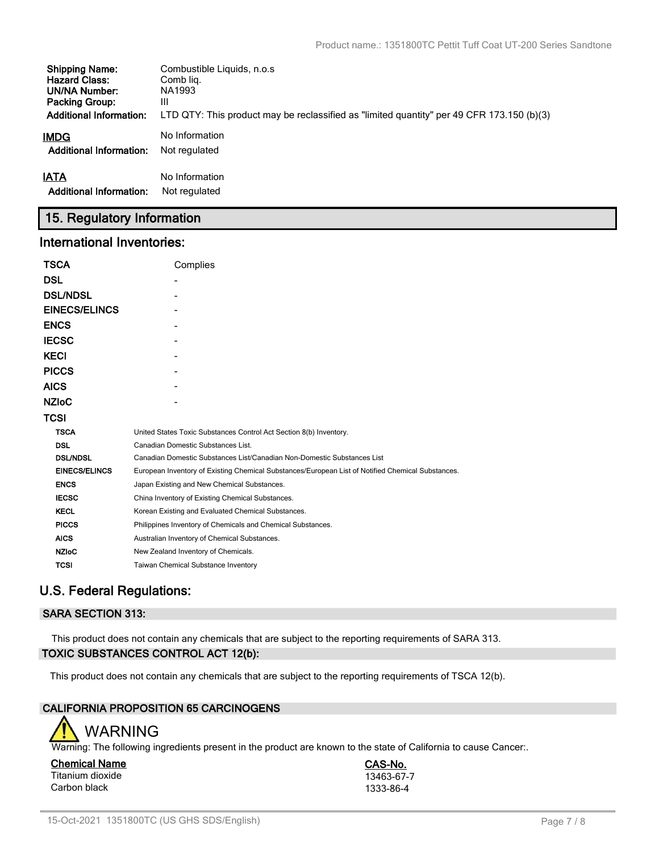| <b>Shipping Name:</b>          | Combustible Liquids, n.o.s.                                                               |
|--------------------------------|-------------------------------------------------------------------------------------------|
| <b>Hazard Class:</b>           | Comb lig.                                                                                 |
| <b>UN/NA Number:</b>           | NA1993                                                                                    |
| <b>Packing Group:</b>          | Ш                                                                                         |
| <b>Additional Information:</b> | LTD QTY: This product may be reclassified as "limited quantity" per 49 CFR 173.150 (b)(3) |
| <b>IMDG</b>                    | No Information                                                                            |
| <b>Additional Information:</b> | Not regulated                                                                             |
| <b>IATA</b>                    | No Information                                                                            |
| <b>Additional Information:</b> | Not regulated                                                                             |

# **15. Regulatory Information**

## **International Inventories:**

| <b>TSCA</b>          | Complies                                                                                          |
|----------------------|---------------------------------------------------------------------------------------------------|
| <b>DSL</b>           |                                                                                                   |
| <b>DSL/NDSL</b>      |                                                                                                   |
| <b>EINECS/ELINCS</b> |                                                                                                   |
| <b>ENCS</b>          |                                                                                                   |
| <b>IECSC</b>         |                                                                                                   |
| <b>KECI</b>          |                                                                                                   |
| <b>PICCS</b>         |                                                                                                   |
| <b>AICS</b>          |                                                                                                   |
| <b>NZIOC</b>         |                                                                                                   |
| <b>TCSI</b>          |                                                                                                   |
| <b>TSCA</b>          | United States Toxic Substances Control Act Section 8(b) Inventory.                                |
| <b>DSL</b>           | Canadian Domestic Substances List.                                                                |
| <b>DSL/NDSL</b>      | Canadian Domestic Substances List/Canadian Non-Domestic Substances List                           |
| <b>EINECS/ELINCS</b> | European Inventory of Existing Chemical Substances/European List of Notified Chemical Substances. |
| <b>ENCS</b>          | Japan Existing and New Chemical Substances.                                                       |
| <b>IECSC</b>         | China Inventory of Existing Chemical Substances.                                                  |
| <b>KECL</b>          | Korean Existing and Evaluated Chemical Substances.                                                |
| <b>PICCS</b>         | Philippines Inventory of Chemicals and Chemical Substances.                                       |
| <b>AICS</b>          | Australian Inventory of Chemical Substances.                                                      |
| <b>NZIoC</b>         | New Zealand Inventory of Chemicals.                                                               |
| <b>TCSI</b>          | Taiwan Chemical Substance Inventory                                                               |

# **U.S. Federal Regulations:**

# **SARA SECTION 313:**

This product does not contain any chemicals that are subject to the reporting requirements of SARA 313. **TOXIC SUBSTANCES CONTROL ACT 12(b):**

This product does not contain any chemicals that are subject to the reporting requirements of TSCA 12(b).

# **CALIFORNIA PROPOSITION 65 CARCINOGENS**



Warning: The following ingredients present in the product are known to the state of California to cause Cancer:.

**Chemical Name CAS-No.** Titanium dioxide 13463-67-7<br>Carbon black 1333-86-4 Carbon black